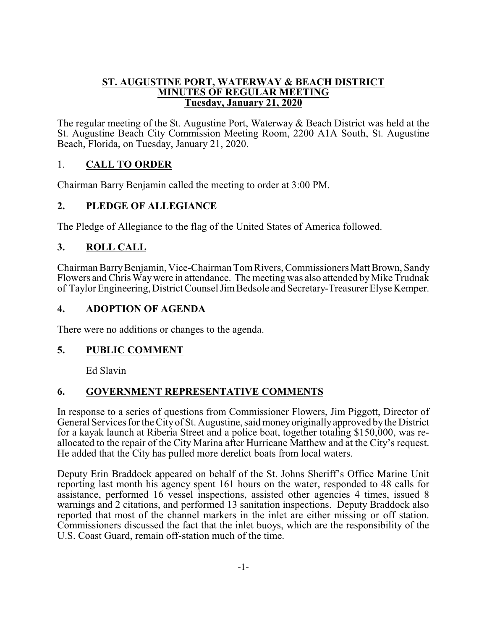#### **ST. AUGUSTINE PORT, WATERWAY & BEACH DISTRICT MINUTES OF REGULAR MEETING Tuesday, January 21, 2020**

The regular meeting of the St. Augustine Port, Waterway & Beach District was held at the St. Augustine Beach City Commission Meeting Room, 2200 A1A South, St. Augustine Beach, Florida, on Tuesday, January 21, 2020.

# 1. **CALL TO ORDER**

Chairman Barry Benjamin called the meeting to order at 3:00 PM.

# **2. PLEDGE OF ALLEGIANCE**

The Pledge of Allegiance to the flag of the United States of America followed.

# **3. ROLL CALL**

Chairman BarryBenjamin, Vice-Chairman TomRivers, Commissioners Matt Brown, Sandy Flowers and Chris Way were in attendance. The meeting was also attended by Mike Trudnak of Taylor Engineering, District Counsel JimBedsole and Secretary-Treasurer Elyse Kemper.

#### **4. ADOPTION OF AGENDA**

There were no additions or changes to the agenda.

#### **5. PUBLIC COMMENT**

Ed Slavin

#### **6. GOVERNMENT REPRESENTATIVE COMMENTS**

In response to a series of questions from Commissioner Flowers, Jim Piggott, Director of General Services for the City of St. Augustine, said moneyoriginallyapproved bythe District for a kayak launch at Riberia Street and a police boat, together totaling \$150,000, was reallocated to the repair of the City Marina after Hurricane Matthew and at the City's request. He added that the City has pulled more derelict boats from local waters.

Deputy Erin Braddock appeared on behalf of the St. Johns Sheriff's Office Marine Unit reporting last month his agency spent 161 hours on the water, responded to 48 calls for assistance, performed 16 vessel inspections, assisted other agencies 4 times, issued 8 warnings and 2 citations, and performed 13 sanitation inspections. Deputy Braddock also reported that most of the channel markers in the inlet are either missing or off station. Commissioners discussed the fact that the inlet buoys, which are the responsibility of the U.S. Coast Guard, remain off-station much of the time.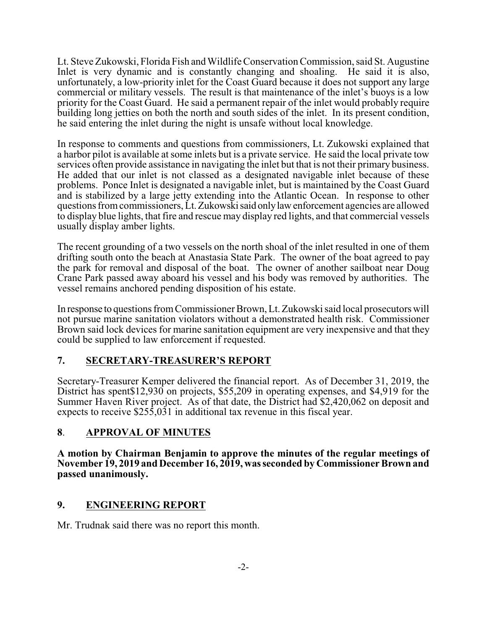Lt. Steve Zukowski, Florida Fish and Wildlife Conservation Commission, said St. Augustine Inlet is very dynamic and is constantly changing and shoaling. He said it is also, unfortunately, a low-priority inlet for the Coast Guard because it does not support any large commercial or military vessels. The result is that maintenance of the inlet's buoys is a low priority for the Coast Guard. He said a permanent repair of the inlet would probably require building long jetties on both the north and south sides of the inlet. In its present condition, he said entering the inlet during the night is unsafe without local knowledge.

In response to comments and questions from commissioners, Lt. Zukowski explained that a harbor pilot is available at some inlets but is a private service. He said the local private tow services often provide assistance in navigating the inlet but that is not their primary business. He added that our inlet is not classed as a designated navigable inlet because of these problems. Ponce Inlet is designated a navigable inlet, but is maintained by the Coast Guard and is stabilized by a large jetty extending into the Atlantic Ocean. In response to other questions fromcommissioners, Lt.Zukowskisaid onlylawenforcement agencies are allowed to display blue lights, that fire and rescue may display red lights, and that commercial vessels usually display amber lights.

The recent grounding of a two vessels on the north shoal of the inlet resulted in one of them drifting south onto the beach at Anastasia State Park. The owner of the boat agreed to pay the park for removal and disposal of the boat. The owner of another sailboat near Doug Crane Park passed away aboard his vessel and his body was removed by authorities. The vessel remains anchored pending disposition of his estate.

In response to questions fromCommissioner Brown, Lt. Zukowski said local prosecutors will not pursue marine sanitation violators without a demonstrated health risk. Commissioner Brown said lock devices for marine sanitation equipment are very inexpensive and that they could be supplied to law enforcement if requested.

#### **7. SECRETARY-TREASURER'S REPORT**

Secretary-Treasurer Kemper delivered the financial report. As of December 31, 2019, the District has spent\$12,930 on projects, \$55,209 in operating expenses, and \$4,919 for the Summer Haven River project. As of that date, the District had \$2,420,062 on deposit and expects to receive \$255,031 in additional tax revenue in this fiscal year.

#### **8**. **APPROVAL OF MINUTES**

**A motion by Chairman Benjamin to approve the minutes of the regular meetings of November 19, 2019 and December 16, 2019, wasseconded by Commissioner Brown and passed unanimously.**

#### **9. ENGINEERING REPORT**

Mr. Trudnak said there was no report this month.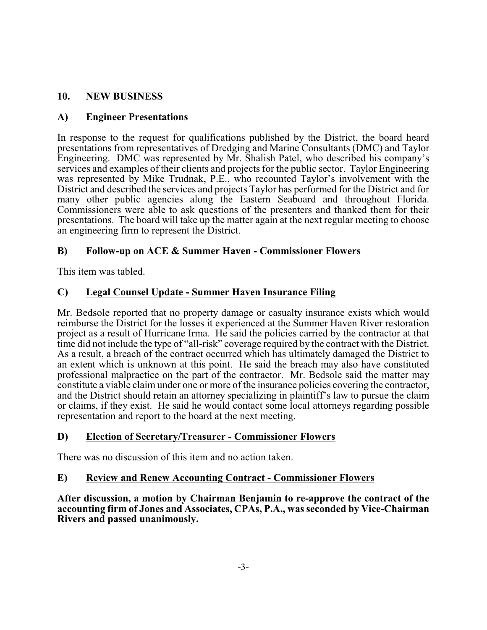# **10. NEW BUSINESS**

### **A) Engineer Presentations**

In response to the request for qualifications published by the District, the board heard presentations from representatives of Dredging and Marine Consultants (DMC) and Taylor Engineering. DMC was represented by Mr. Shalish Patel, who described his company's services and examples of their clients and projects for the public sector. Taylor Engineering was represented by Mike Trudnak, P.E., who recounted Taylor's involvement with the District and described the services and projects Taylor has performed for the District and for many other public agencies along the Eastern Seaboard and throughout Florida. Commissioners were able to ask questions of the presenters and thanked them for their presentations. The board will take up the matter again at the next regular meeting to choose an engineering firm to represent the District.

#### **B) Follow-up on ACE & Summer Haven - Commissioner Flowers**

This item was tabled.

# **C) Legal Counsel Update - Summer Haven Insurance Filing**

Mr. Bedsole reported that no property damage or casualty insurance exists which would reimburse the District for the losses it experienced at the Summer Haven River restoration project as a result of Hurricane Irma. He said the policies carried by the contractor at that time did not include the type of "all-risk" coverage required by the contract with the District. As a result, a breach of the contract occurred which has ultimately damaged the District to an extent which is unknown at this point. He said the breach may also have constituted professional malpractice on the part of the contractor. Mr. Bedsole said the matter may constitute a viable claim under one or more of the insurance policies covering the contractor, and the District should retain an attorney specializing in plaintiff's law to pursue the claim or claims, if they exist. He said he would contact some local attorneys regarding possible representation and report to the board at the next meeting.

#### **D) Election of Secretary/Treasurer - Commissioner Flowers**

There was no discussion of this item and no action taken.

#### **E) Review and Renew Accounting Contract - Commissioner Flowers**

**After discussion, a motion by Chairman Benjamin to re-approve the contract of the accounting firm of Jones and Associates, CPAs, P.A., was seconded by Vice-Chairman Rivers and passed unanimously.**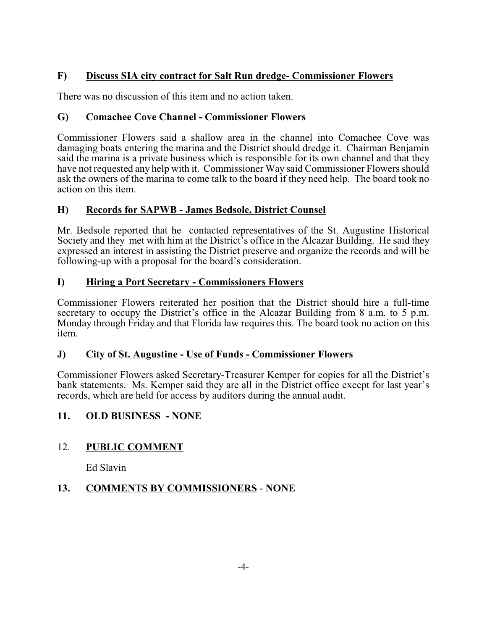# **F) Discuss SIA city contract for Salt Run dredge- Commissioner Flowers**

There was no discussion of this item and no action taken.

# **G) Comachee Cove Channel - Commissioner Flowers**

Commissioner Flowers said a shallow area in the channel into Comachee Cove was damaging boats entering the marina and the District should dredge it. Chairman Benjamin said the marina is a private business which is responsible for its own channel and that they have not requested any help with it. Commissioner Way said Commissioner Flowers should ask the owners of the marina to come talk to the board if they need help. The board took no action on this item.

#### **H) Records for SAPWB - James Bedsole, District Counsel**

Mr. Bedsole reported that he contacted representatives of the St. Augustine Historical Society and they met with him at the District's office in the Alcazar Building. He said they expressed an interest in assisting the District preserve and organize the records and will be following-up with a proposal for the board's consideration.

# **I) Hiring a Port Secretary - Commissioners Flowers**

Commissioner Flowers reiterated her position that the District should hire a full-time secretary to occupy the District's office in the Alcazar Building from 8 a.m. to 5 p.m. Monday through Friday and that Florida law requires this. The board took no action on this item.

#### **J) City of St. Augustine - Use of Funds - Commissioner Flowers**

Commissioner Flowers asked Secretary-Treasurer Kemper for copies for all the District's bank statements. Ms. Kemper said they are all in the District office except for last year's records, which are held for access by auditors during the annual audit.

#### **11. OLD BUSINESS - NONE**

# 12. **PUBLIC COMMENT**

Ed Slavin

# **13. COMMENTS BY COMMISSIONERS** - **NONE**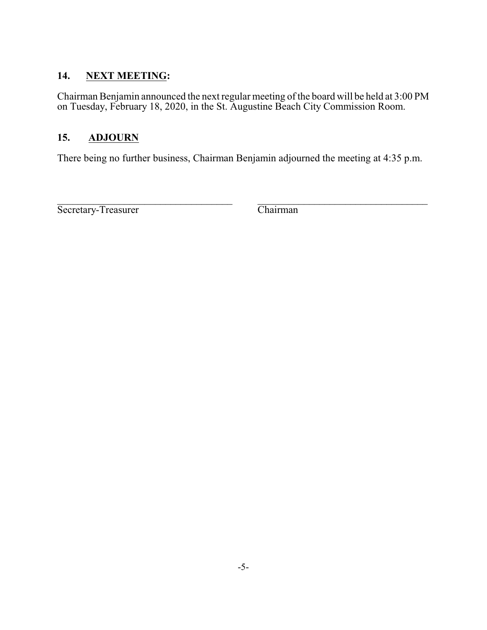# **14. NEXT MEETING:**

Chairman Benjamin announced the next regular meeting of the board will be held at 3:00 PM on Tuesday, February 18, 2020, in the St. Augustine Beach City Commission Room.

# **15. ADJOURN**

There being no further business, Chairman Benjamin adjourned the meeting at 4:35 p.m.

 $\mathcal{L}_\text{max} = \mathcal{L}_\text{max} = \mathcal{L}_\text{max} = \mathcal{L}_\text{max} = \mathcal{L}_\text{max} = \mathcal{L}_\text{max} = \mathcal{L}_\text{max} = \mathcal{L}_\text{max} = \mathcal{L}_\text{max} = \mathcal{L}_\text{max} = \mathcal{L}_\text{max} = \mathcal{L}_\text{max} = \mathcal{L}_\text{max} = \mathcal{L}_\text{max} = \mathcal{L}_\text{max} = \mathcal{L}_\text{max} = \mathcal{L}_\text{max} = \mathcal{L}_\text{max} = \mathcal{$ Secretary-Treasurer Chairman